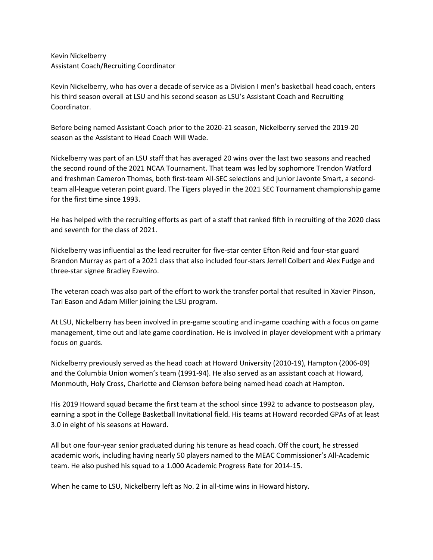Kevin Nickelberry Assistant Coach/Recruiting Coordinator

Kevin Nickelberry, who has over a decade of service as a Division I men's basketball head coach, enters his third season overall at LSU and his second season as LSU's Assistant Coach and Recruiting Coordinator.

Before being named Assistant Coach prior to the 2020-21 season, Nickelberry served the 2019-20 season as the Assistant to Head Coach Will Wade.

Nickelberry was part of an LSU staff that has averaged 20 wins over the last two seasons and reached the second round of the 2021 NCAA Tournament. That team was led by sophomore Trendon Watford and freshman Cameron Thomas, both first-team All-SEC selections and junior Javonte Smart, a secondteam all-league veteran point guard. The Tigers played in the 2021 SEC Tournament championship game for the first time since 1993.

He has helped with the recruiting efforts as part of a staff that ranked fifth in recruiting of the 2020 class and seventh for the class of 2021.

Nickelberry was influential as the lead recruiter for five-star center Efton Reid and four-star guard Brandon Murray as part of a 2021 class that also included four-stars Jerrell Colbert and Alex Fudge and three-star signee Bradley Ezewiro.

The veteran coach was also part of the effort to work the transfer portal that resulted in Xavier Pinson, Tari Eason and Adam Miller joining the LSU program.

At LSU, Nickelberry has been involved in pre-game scouting and in-game coaching with a focus on game management, time out and late game coordination. He is involved in player development with a primary focus on guards.

Nickelberry previously served as the head coach at Howard University (2010-19), Hampton (2006-09) and the Columbia Union women's team (1991-94). He also served as an assistant coach at Howard, Monmouth, Holy Cross, Charlotte and Clemson before being named head coach at Hampton.

His 2019 Howard squad became the first team at the school since 1992 to advance to postseason play, earning a spot in the College Basketball Invitational field. His teams at Howard recorded GPAs of at least 3.0 in eight of his seasons at Howard.

All but one four-year senior graduated during his tenure as head coach. Off the court, he stressed academic work, including having nearly 50 players named to the MEAC Commissioner's All-Academic team. He also pushed his squad to a 1.000 Academic Progress Rate for 2014-15.

When he came to LSU, Nickelberry left as No. 2 in all-time wins in Howard history.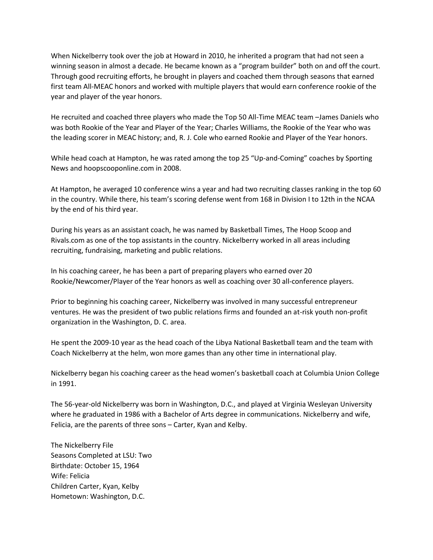When Nickelberry took over the job at Howard in 2010, he inherited a program that had not seen a winning season in almost a decade. He became known as a "program builder" both on and off the court. Through good recruiting efforts, he brought in players and coached them through seasons that earned first team All-MEAC honors and worked with multiple players that would earn conference rookie of the year and player of the year honors.

He recruited and coached three players who made the Top 50 All-Time MEAC team –James Daniels who was both Rookie of the Year and Player of the Year; Charles Williams, the Rookie of the Year who was the leading scorer in MEAC history; and, R. J. Cole who earned Rookie and Player of the Year honors.

While head coach at Hampton, he was rated among the top 25 "Up-and-Coming" coaches by Sporting News and hoopscooponline.com in 2008.

At Hampton, he averaged 10 conference wins a year and had two recruiting classes ranking in the top 60 in the country. While there, his team's scoring defense went from 168 in Division I to 12th in the NCAA by the end of his third year.

During his years as an assistant coach, he was named by Basketball Times, The Hoop Scoop and Rivals.com as one of the top assistants in the country. Nickelberry worked in all areas including recruiting, fundraising, marketing and public relations.

In his coaching career, he has been a part of preparing players who earned over 20 Rookie/Newcomer/Player of the Year honors as well as coaching over 30 all-conference players.

Prior to beginning his coaching career, Nickelberry was involved in many successful entrepreneur ventures. He was the president of two public relations firms and founded an at-risk youth non-profit organization in the Washington, D. C. area.

He spent the 2009-10 year as the head coach of the Libya National Basketball team and the team with Coach Nickelberry at the helm, won more games than any other time in international play.

Nickelberry began his coaching career as the head women's basketball coach at Columbia Union College in 1991.

The 56-year-old Nickelberry was born in Washington, D.C., and played at Virginia Wesleyan University where he graduated in 1986 with a Bachelor of Arts degree in communications. Nickelberry and wife, Felicia, are the parents of three sons – Carter, Kyan and Kelby.

The Nickelberry File Seasons Completed at LSU: Two Birthdate: October 15, 1964 Wife: Felicia Children Carter, Kyan, Kelby Hometown: Washington, D.C.